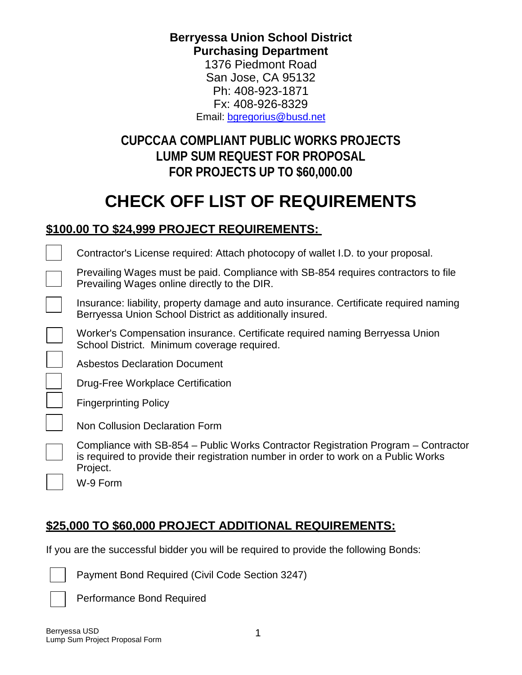#### **Berryessa Union School District Purchasing Department**

1376 Piedmont Road San Jose, CA 95132 Ph: 408-923-1871 Fx: 408-926-8329 Email: [bgregorius@busd.net](mailto:bgregorius@busd.net)

## **CUPCCAA COMPLIANT PUBLIC WORKS PROJECTS LUMP SUM REQUEST FOR PROPOSAL FOR PROJECTS UP TO \$60,000.00**

# **CHECK OFF LIST OF REQUIREMENTS**

#### **\$100.00 TO \$24,999 PROJECT REQUIREMENTS:**

| Contractor's License required: Attach photocopy of wallet I.D. to your proposal.                                                                                                      |
|---------------------------------------------------------------------------------------------------------------------------------------------------------------------------------------|
| Prevailing Wages must be paid. Compliance with SB-854 requires contractors to file<br>Prevailing Wages online directly to the DIR.                                                    |
| Insurance: liability, property damage and auto insurance. Certificate required naming<br>Berryessa Union School District as additionally insured.                                     |
| Worker's Compensation insurance. Certificate required naming Berryessa Union<br>School District. Minimum coverage required.                                                           |
| <b>Asbestos Declaration Document</b>                                                                                                                                                  |
| Drug-Free Workplace Certification                                                                                                                                                     |
| <b>Fingerprinting Policy</b>                                                                                                                                                          |
| Non Collusion Declaration Form                                                                                                                                                        |
| Compliance with SB-854 – Public Works Contractor Registration Program – Contractor<br>is required to provide their registration number in order to work on a Public Works<br>Project. |

W-9 Form

### **\$25,000 TO \$60,000 PROJECT ADDITIONAL REQUIREMENTS:**

If you are the successful bidder you will be required to provide the following Bonds:



Payment Bond Required (Civil Code Section 3247)



Performance Bond Required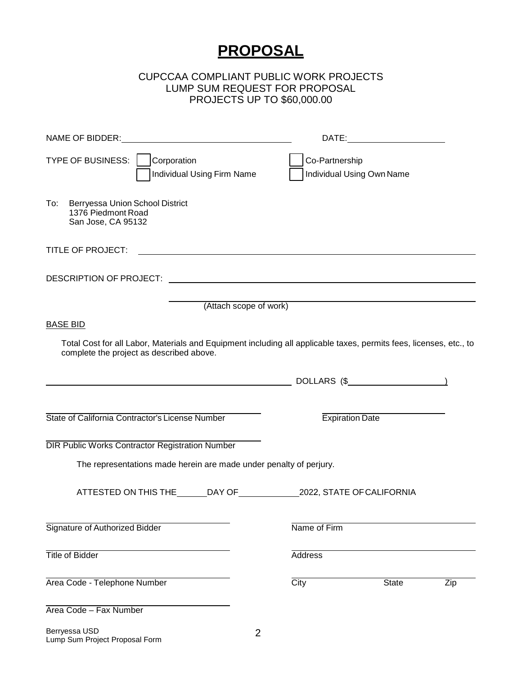## **PROPOSAL**

#### CUPCCAA COMPLIANT PUBLIC WORK PROJECTS LUMP SUM REQUEST FOR PROPOSAL PROJECTS UP TO \$60,000.00

| NAME OF BIDDER:                                                                                                                                                |                                             |                     |  |
|----------------------------------------------------------------------------------------------------------------------------------------------------------------|---------------------------------------------|---------------------|--|
| TYPE OF BUSINESS:<br>Corporation<br>Individual Using Firm Name                                                                                                 | Co-Partnership<br>Individual Using Own Name |                     |  |
| Berryessa Union School District<br>To:<br>1376 Piedmont Road<br>San Jose, CA 95132                                                                             |                                             |                     |  |
| TITLE OF PROJECT:                                                                                                                                              |                                             |                     |  |
|                                                                                                                                                                |                                             |                     |  |
| (Attach scope of work)                                                                                                                                         |                                             |                     |  |
| <b>BASE BID</b>                                                                                                                                                |                                             |                     |  |
| Total Cost for all Labor, Materials and Equipment including all applicable taxes, permits fees, licenses, etc., to<br>complete the project as described above. |                                             |                     |  |
| $\overbrace{\hspace{2.5cm}}$ DOLLARS $(\$$                                                                                                                     |                                             |                     |  |
| State of California Contractor's License Number                                                                                                                | <b>Expiration Date</b>                      |                     |  |
| <b>DIR Public Works Contractor Registration Number</b>                                                                                                         |                                             |                     |  |
| The representations made herein are made under penalty of perjury.                                                                                             |                                             |                     |  |
|                                                                                                                                                                |                                             |                     |  |
| Signature of Authorized Bidder                                                                                                                                 | Name of Firm                                |                     |  |
| <b>Title of Bidder</b>                                                                                                                                         | <b>Address</b>                              |                     |  |
| Area Code - Telephone Number                                                                                                                                   | City                                        | <b>State</b><br>Zip |  |
| Area Code - Fax Number                                                                                                                                         |                                             |                     |  |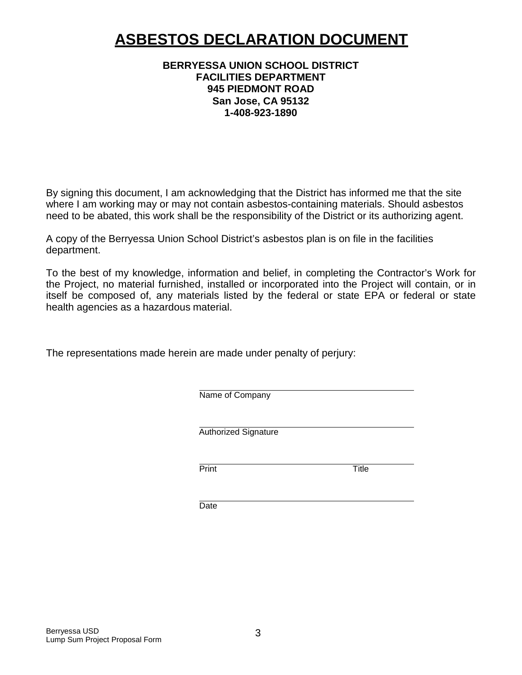# **ASBESTOS DECLARATION DOCUMENT**

#### **BERRYESSA UNION SCHOOL DISTRICT FACILITIES DEPARTMENT 945 PIEDMONT ROAD San Jose, CA 95132 1-408-923-1890**

By signing this document, I am acknowledging that the District has informed me that the site where I am working may or may not contain asbestos-containing materials. Should asbestos need to be abated, this work shall be the responsibility of the District or its authorizing agent.

A copy of the Berryessa Union School District's asbestos plan is on file in the facilities department.

To the best of my knowledge, information and belief, in completing the Contractor's Work for the Project, no material furnished, installed or incorporated into the Project will contain, or in itself be composed of, any materials listed by the federal or state EPA or federal or state health agencies as a hazardous material.

The representations made herein are made under penalty of perjury:

| Name of Company             |              |
|-----------------------------|--------------|
| <b>Authorized Signature</b> |              |
| Print                       | <b>Title</b> |
|                             |              |

**Date**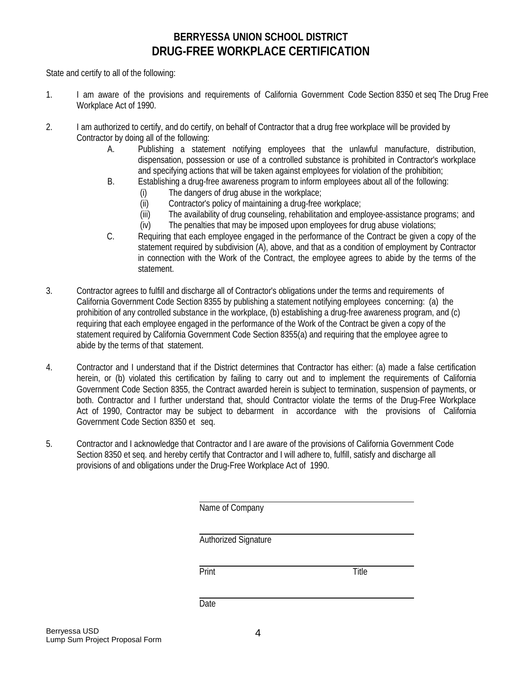#### **BERRYESSA UNION SCHOOL DISTRICT DRUG-FREE WORKPLACE CERTIFICATION**

State and certify to all of the following:

- 1. I am aware of the provisions and requirements of California Government Code Section 8350 et seq The Drug Free Workplace Act of 1990.
- 2. I am authorized to certify, and do certify, on behalf of Contractor that a drug free workplace will be provided by Contractor by doing all of the following:
	- A. Publishing a statement notifying employees that the unlawful manufacture, distribution, dispensation, possession or use of a controlled substance is prohibited in Contractor's workplace and specifying actions that will be taken against employees for violation of the prohibition;
	- B. Establishing a drug-free awareness program to inform employees about all of the following:
		- (i) The dangers of drug abuse in the workplace;
		- (ii) Contractor's policy of maintaining a drug-free workplace;
		- (iii) The availability of drug counseling, rehabilitation and employee-assistance programs; and
		- (iv) The penalties that may be imposed upon employees for drug abuse violations;
	- C. Requiring that each employee engaged in the performance of the Contract be given a copy of the statement required by subdivision (A), above, and that as a condition of employment by Contractor in connection with the Work of the Contract, the employee agrees to abide by the terms of the statement.
- 3. Contractor agrees to fulfill and discharge all of Contractor's obligations under the terms and requirements of California Government Code Section 8355 by publishing a statement notifying employees concerning: (a) the prohibition of any controlled substance in the workplace, (b) establishing a drug-free awareness program, and (c) requiring that each employee engaged in the performance of the Work of the Contract be given a copy of the statement required by California Government Code Section 8355(a) and requiring that the employee agree to abide by the terms of that statement.
- 4. Contractor and I understand that if the District determines that Contractor has either: (a) made a false certification herein, or (b) violated this certification by failing to carry out and to implement the requirements of California Government Code Section 8355, the Contract awarded herein is subject to termination, suspension of payments, or both. Contractor and I further understand that, should Contractor violate the terms of the Drug-Free Workplace Act of 1990, Contractor may be subject to debarment in accordance with the provisions of California Government Code Section 8350 et seq.
- 5. Contractor and I acknowledge that Contractor and I are aware of the provisions of California Government Code Section 8350 et seq. and hereby certify that Contractor and I will adhere to, fulfill, satisfy and discharge all provisions of and obligations under the Drug-Free Workplace Act of 1990.

|       | Name of Company      |       |  |
|-------|----------------------|-------|--|
|       | Authorized Signature |       |  |
| Print |                      | Title |  |
| Date  |                      |       |  |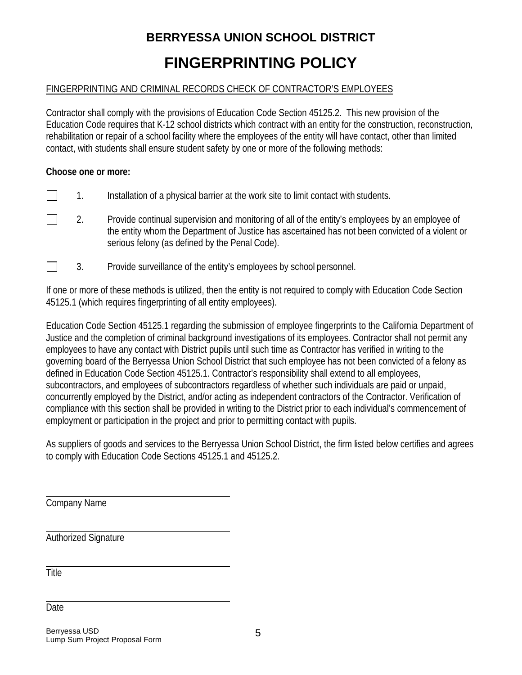# **BERRYESSA UNION SCHOOL DISTRICT FINGERPRINTING POLICY**

#### FINGERPRINTING AND CRIMINAL RECORDS CHECK OF CONTRACTOR'S EMPLOYEES

Contractor shall comply with the provisions of Education Code Section 45125.2. This new provision of the Education Code requires that K-12 school districts which contract with an entity for the construction, reconstruction, rehabilitation or repair of a school facility where the employees of the entity will have contact, other than limited contact, with students shall ensure student safety by one or more of the following methods:

#### **Choose one or more:**

- 1. Installation of a physical barrier at the work site to limit contact with students.
- $\mathcal{L}$ 2. Provide continual supervision and monitoring of all of the entity's employees by an employee of the entity whom the Department of Justice has ascertained has not been convicted of a violent or serious felony (as defined by the Penal Code).
- 3. Provide surveillance of the entity's employees by school personnel.

If one or more of these methods is utilized, then the entity is not required to comply with Education Code Section 45125.1 (which requires fingerprinting of all entity employees).

Education Code Section 45125.1 regarding the submission of employee fingerprints to the California Department of Justice and the completion of criminal background investigations of its employees. Contractor shall not permit any employees to have any contact with District pupils until such time as Contractor has verified in writing to the governing board of the Berryessa Union School District that such employee has not been convicted of a felony as defined in Education Code Section 45125.1. Contractor's responsibility shall extend to all employees, subcontractors, and employees of subcontractors regardless of whether such individuals are paid or unpaid, concurrently employed by the District, and/or acting as independent contractors of the Contractor. Verification of compliance with this section shall be provided in writing to the District prior to each individual's commencement of employment or participation in the project and prior to permitting contact with pupils.

As suppliers of goods and services to the Berryessa Union School District, the firm listed below certifies and agrees to comply with Education Code Sections 45125.1 and 45125.2.

Company Name

Authorized Signature

**Title** 

Date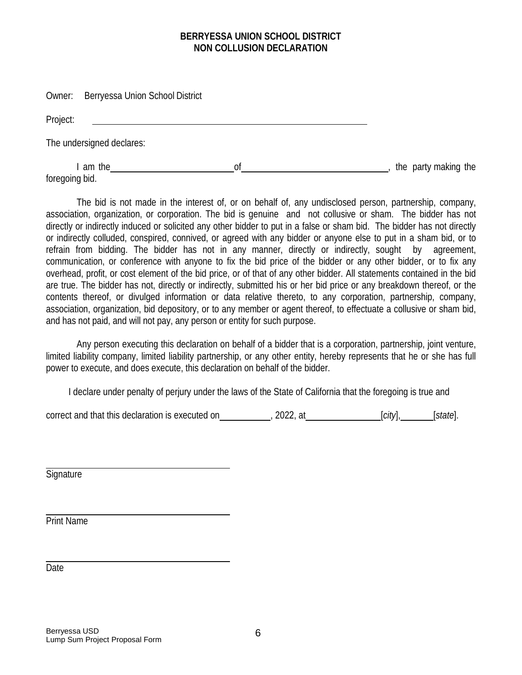#### **BERRYESSA UNION SCHOOL DISTRICT NON COLLUSION DECLARATION**

Owner: Berryessa Union School District

Project:

The undersigned declares:

I am the set of the party making the set of the party making the set of the party making the set of the party making the set of the party making the set of the set of the set of the set of the set of the set of the set of foregoing bid.

The bid is not made in the interest of, or on behalf of, any undisclosed person, partnership, company, association, organization, or corporation. The bid is genuine and not collusive or sham. The bidder has not directly or indirectly induced or solicited any other bidder to put in a false or sham bid. The bidder has not directly or indirectly colluded, conspired, connived, or agreed with any bidder or anyone else to put in a sham bid, or to refrain from bidding. The bidder has not in any manner, directly or indirectly, sought by agreement, communication, or conference with anyone to fix the bid price of the bidder or any other bidder, or to fix any overhead, profit, or cost element of the bid price, or of that of any other bidder. All statements contained in the bid are true. The bidder has not, directly or indirectly, submitted his or her bid price or any breakdown thereof, or the contents thereof, or divulged information or data relative thereto, to any corporation, partnership, company, association, organization, bid depository, or to any member or agent thereof, to effectuate a collusive or sham bid, and has not paid, and will not pay, any person or entity for such purpose.

Any person executing this declaration on behalf of a bidder that is a corporation, partnership, joint venture, limited liability company, limited liability partnership, or any other entity, hereby represents that he or she has full power to execute, and does execute, this declaration on behalf of the bidder.

I declare under penalty of perjury under the laws of the State of California that the foregoing is true and

correct and that this declaration is executed on **1998**, 2022, at *[<i>city*], [*state*].

**Signature** 

Print Name

Date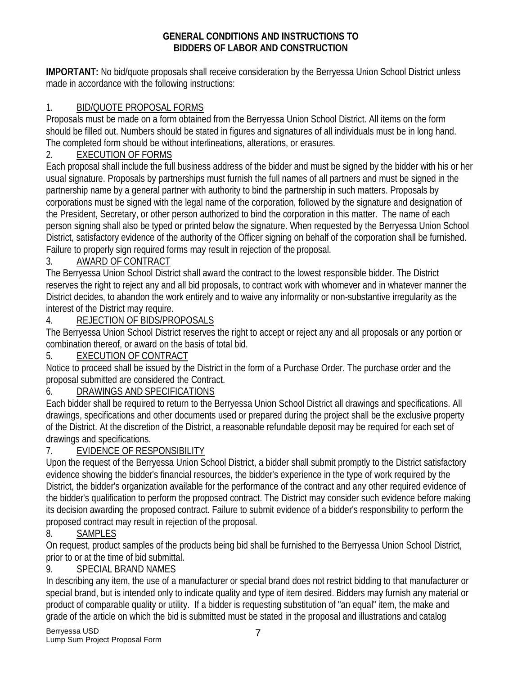#### **GENERAL CONDITIONS AND INSTRUCTIONS TO BIDDERS OF LABOR AND CONSTRUCTION**

**IMPORTANT:** No bid/quote proposals shall receive consideration by the Berryessa Union School District unless made in accordance with the following instructions:

#### 1. BID/QUOTE PROPOSAL FORMS

Proposals must be made on a form obtained from the Berryessa Union School District. All items on the form should be filled out. Numbers should be stated in figures and signatures of all individuals must be in long hand. The completed form should be without interlineations, alterations, or erasures.

#### 2. EXECUTION OF FORMS

Each proposal shall include the full business address of the bidder and must be signed by the bidder with his or her usual signature. Proposals by partnerships must furnish the full names of all partners and must be signed in the partnership name by a general partner with authority to bind the partnership in such matters. Proposals by corporations must be signed with the legal name of the corporation, followed by the signature and designation of the President, Secretary, or other person authorized to bind the corporation in this matter. The name of each person signing shall also be typed or printed below the signature. When requested by the Berryessa Union School District, satisfactory evidence of the authority of the Officer signing on behalf of the corporation shall be furnished. Failure to properly sign required forms may result in rejection of the proposal.

#### 3. AWARD OF CONTRACT

The Berryessa Union School District shall award the contract to the lowest responsible bidder. The District reserves the right to reject any and all bid proposals, to contract work with whomever and in whatever manner the District decides, to abandon the work entirely and to waive any informality or non-substantive irregularity as the interest of the District may require.

#### 4. REJECTION OF BIDS/PROPOSALS

The Berryessa Union School District reserves the right to accept or reject any and all proposals or any portion or combination thereof, or award on the basis of total bid.

#### 5. EXECUTION OF CONTRACT

Notice to proceed shall be issued by the District in the form of a Purchase Order. The purchase order and the proposal submitted are considered the Contract.

#### 6. DRAWINGS AND SPECIFICATIONS

Each bidder shall be required to return to the Berryessa Union School District all drawings and specifications. All drawings, specifications and other documents used or prepared during the project shall be the exclusive property of the District. At the discretion of the District, a reasonable refundable deposit may be required for each set of drawings and specifications.

#### 7. EVIDENCE OF RESPONSIBILITY

Upon the request of the Berryessa Union School District, a bidder shall submit promptly to the District satisfactory evidence showing the bidder's financial resources, the bidder's experience in the type of work required by the District, the bidder's organization available for the performance of the contract and any other required evidence of the bidder's qualification to perform the proposed contract. The District may consider such evidence before making its decision awarding the proposed contract. Failure to submit evidence of a bidder's responsibility to perform the proposed contract may result in rejection of the proposal.

#### 8. SAMPLES

On request, product samples of the products being bid shall be furnished to the Berryessa Union School District, prior to or at the time of bid submittal.

#### 9. SPECIAL BRAND NAMES

In describing any item, the use of a manufacturer or special brand does not restrict bidding to that manufacturer or special brand, but is intended only to indicate quality and type of item desired. Bidders may furnish any material or product of comparable quality or utility. If a bidder is requesting substitution of "an equal" item, the make and grade of the article on which the bid is submitted must be stated in the proposal and illustrations and catalog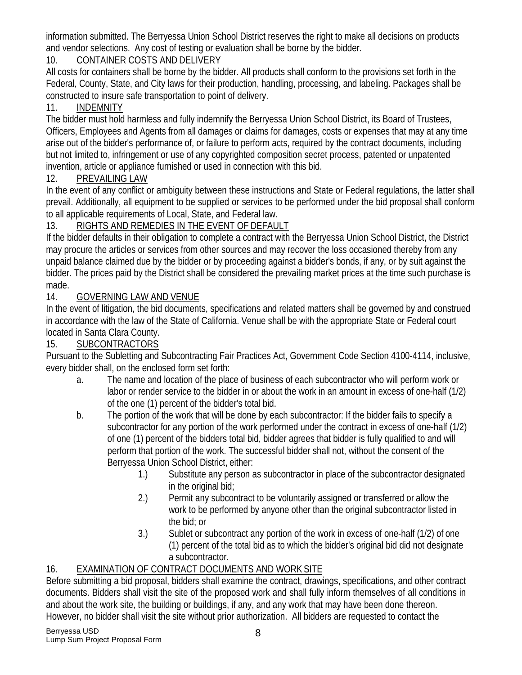information submitted. The Berryessa Union School District reserves the right to make all decisions on products and vendor selections. Any cost of testing or evaluation shall be borne by the bidder.

#### 10. CONTAINER COSTS AND DELIVERY

All costs for containers shall be borne by the bidder. All products shall conform to the provisions set forth in the Federal, County, State, and City laws for their production, handling, processing, and labeling. Packages shall be constructed to insure safe transportation to point of delivery.

#### 11. INDEMNITY

The bidder must hold harmless and fully indemnify the Berryessa Union School District, its Board of Trustees, Officers, Employees and Agents from all damages or claims for damages, costs or expenses that may at any time arise out of the bidder's performance of, or failure to perform acts, required by the contract documents, including but not limited to, infringement or use of any copyrighted composition secret process, patented or unpatented invention, article or appliance furnished or used in connection with this bid.

#### 12. PREVAILING LAW

In the event of any conflict or ambiguity between these instructions and State or Federal regulations, the latter shall prevail. Additionally, all equipment to be supplied or services to be performed under the bid proposal shall conform to all applicable requirements of Local, State, and Federal law.

#### 13. RIGHTS AND REMEDIES IN THE EVENT OF DEFAULT

If the bidder defaults in their obligation to complete a contract with the Berryessa Union School District, the District may procure the articles or services from other sources and may recover the loss occasioned thereby from any unpaid balance claimed due by the bidder or by proceeding against a bidder's bonds, if any, or by suit against the bidder. The prices paid by the District shall be considered the prevailing market prices at the time such purchase is made.

#### 14. GOVERNING LAW AND VENUE

In the event of litigation, the bid documents, specifications and related matters shall be governed by and construed in accordance with the law of the State of California. Venue shall be with the appropriate State or Federal court located in Santa Clara County.

#### 15. SUBCONTRACTORS

Pursuant to the Subletting and Subcontracting Fair Practices Act, Government Code Section 4100-4114, inclusive, every bidder shall, on the enclosed form set forth:

- a. The name and location of the place of business of each subcontractor who will perform work or labor or render service to the bidder in or about the work in an amount in excess of one-half (1/2) of the one (1) percent of the bidder's total bid.
- b. The portion of the work that will be done by each subcontractor: If the bidder fails to specify a subcontractor for any portion of the work performed under the contract in excess of one-half (1/2) of one (1) percent of the bidders total bid, bidder agrees that bidder is fully qualified to and will perform that portion of the work. The successful bidder shall not, without the consent of the Berryessa Union School District, either:
	- 1.) Substitute any person as subcontractor in place of the subcontractor designated in the original bid;
	- 2.) Permit any subcontract to be voluntarily assigned or transferred or allow the work to be performed by anyone other than the original subcontractor listed in the bid; or
	- 3.) Sublet or subcontract any portion of the work in excess of one-half (1/2) of one (1) percent of the total bid as to which the bidder's original bid did not designate a subcontractor.

#### 16. EXAMINATION OF CONTRACT DOCUMENTS AND WORK SITE

Before submitting a bid proposal, bidders shall examine the contract, drawings, specifications, and other contract documents. Bidders shall visit the site of the proposed work and shall fully inform themselves of all conditions in and about the work site, the building or buildings, if any, and any work that may have been done thereon. However, no bidder shall visit the site without prior authorization. All bidders are requested to contact the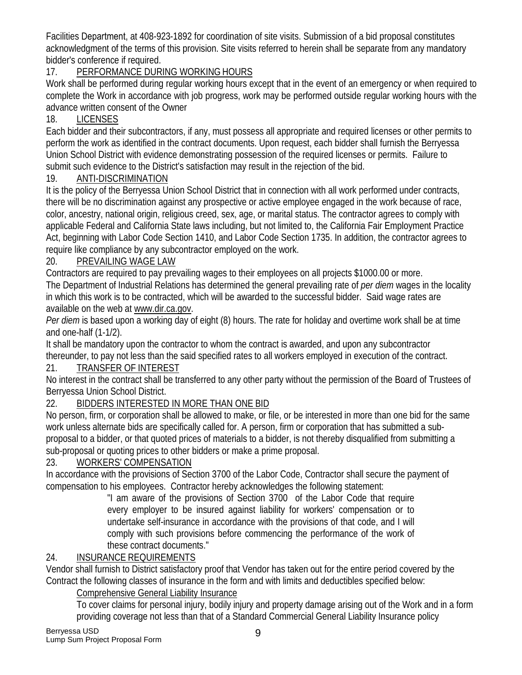Facilities Department, at 408-923-1892 for coordination of site visits. Submission of a bid proposal constitutes acknowledgment of the terms of this provision. Site visits referred to herein shall be separate from any mandatory bidder's conference if required.

#### 17. PERFORMANCE DURING WORKING HOURS

Work shall be performed during regular working hours except that in the event of an emergency or when required to complete the Work in accordance with job progress, work may be performed outside regular working hours with the advance written consent of the Owner

#### 18. LICENSES

Each bidder and their subcontractors, if any, must possess all appropriate and required licenses or other permits to perform the work as identified in the contract documents. Upon request, each bidder shall furnish the Berryessa Union School District with evidence demonstrating possession of the required licenses or permits. Failure to submit such evidence to the District's satisfaction may result in the rejection of the bid.

#### 19. ANTI-DISCRIMINATION

It is the policy of the Berryessa Union School District that in connection with all work performed under contracts, there will be no discrimination against any prospective or active employee engaged in the work because of race, color, ancestry, national origin, religious creed, sex, age, or marital status. The contractor agrees to comply with applicable Federal and California State laws including, but not limited to, the California Fair Employment Practice Act, beginning with Labor Code Section 1410, and Labor Code Section 1735. In addition, the contractor agrees to require like compliance by any subcontractor employed on the work.

#### 20. PREVAILING WAGE LAW

Contractors are required to pay prevailing wages to their employees on all projects \$1000.00 or more. The Department of Industrial Relations has determined the general prevailing rate of *per diem* wages in the locality in which this work is to be contracted, which will be awarded to the successful bidder. Said wage rates are available on the web at [www.dir.ca.gov.](http://www.dir.ca.gov/)

*Per diem* is based upon a working day of eight (8) hours. The rate for holiday and overtime work shall be at time and one-half (1-1/2).

It shall be mandatory upon the contractor to whom the contract is awarded, and upon any subcontractor thereunder, to pay not less than the said specified rates to all workers employed in execution of the contract.

#### 21. TRANSFER OF INTEREST

No interest in the contract shall be transferred to any other party without the permission of the Board of Trustees of Berryessa Union School District.

#### 22. BIDDERS INTERESTED IN MORE THAN ONE BID

No person, firm, or corporation shall be allowed to make, or file, or be interested in more than one bid for the same work unless alternate bids are specifically called for. A person, firm or corporation that has submitted a subproposal to a bidder, or that quoted prices of materials to a bidder, is not thereby disqualified from submitting a sub-proposal or quoting prices to other bidders or make a prime proposal.

#### 23. WORKERS' COMPENSATION

In accordance with the provisions of Section 3700 of the Labor Code, Contractor shall secure the payment of compensation to his employees. Contractor hereby acknowledges the following statement:

"I am aware of the provisions of Section 3700 of the Labor Code that require every employer to be insured against liability for workers' compensation or to undertake self-insurance in accordance with the provisions of that code, and I will comply with such provisions before commencing the performance of the work of these contract documents."

#### 24. INSURANCE REQUIREMENTS

Vendor shall furnish to District satisfactory proof that Vendor has taken out for the entire period covered by the Contract the following classes of insurance in the form and with limits and deductibles specified below:

#### Comprehensive General Liability Insurance

To cover claims for personal injury, bodily injury and property damage arising out of the Work and in a form providing coverage not less than that of a Standard Commercial General Liability Insurance policy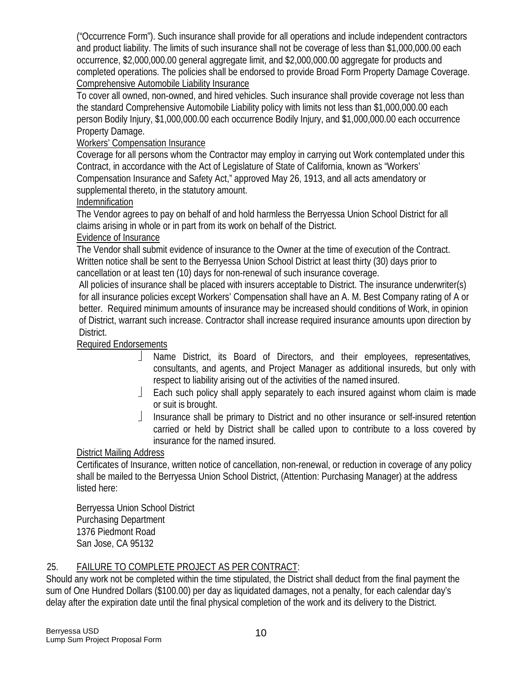("Occurrence Form"). Such insurance shall provide for all operations and include independent contractors and product liability. The limits of such insurance shall not be coverage of less than \$1,000,000.00 each occurrence, \$2,000,000.00 general aggregate limit, and \$2,000,000.00 aggregate for products and completed operations. The policies shall be endorsed to provide Broad Form Property Damage Coverage. Comprehensive Automobile Liability Insurance

To cover all owned, non-owned, and hired vehicles. Such insurance shall provide coverage not less than the standard Comprehensive Automobile Liability policy with limits not less than \$1,000,000.00 each person Bodily Injury, \$1,000,000.00 each occurrence Bodily Injury, and \$1,000,000.00 each occurrence Property Damage.

Workers' Compensation Insurance

Coverage for all persons whom the Contractor may employ in carrying out Work contemplated under this Contract, in accordance with the Act of Legislature of State of California, known as "Workers' Compensation Insurance and Safety Act," approved May 26, 1913, and all acts amendatory or supplemental thereto, in the statutory amount.

Indemnification

The Vendor agrees to pay on behalf of and hold harmless the Berryessa Union School District for all claims arising in whole or in part from its work on behalf of the District.

#### Evidence of Insurance

The Vendor shall submit evidence of insurance to the Owner at the time of execution of the Contract. Written notice shall be sent to the Berryessa Union School District at least thirty (30) days prior to cancellation or at least ten (10) days for non-renewal of such insurance coverage.

All policies of insurance shall be placed with insurers acceptable to District. The insurance underwriter(s) for all insurance policies except Workers' Compensation shall have an A. M. Best Company rating of A or better. Required minimum amounts of insurance may be increased should conditions of Work, in opinion of District, warrant such increase. Contractor shall increase required insurance amounts upon direction by District.

#### Required Endorsements

- Name District, its Board of Directors, and their employees, representatives, consultants, and agents, and Project Manager as additional insureds, but only with respect to liability arising out of the activities of the named insured.
- Each such policy shall apply separately to each insured against whom claim is made or suit is brought.
- I Insurance shall be primary to District and no other insurance or self-insured retention carried or held by District shall be called upon to contribute to a loss covered by insurance for the named insured.

#### District Mailing Address

Certificates of Insurance, written notice of cancellation, non-renewal, or reduction in coverage of any policy shall be mailed to the Berryessa Union School District, (Attention: Purchasing Manager) at the address listed here:

Berryessa Union School District Purchasing Department 1376 Piedmont Road San Jose, CA 95132

#### 25. FAILURE TO COMPLETE PROJECT AS PER CONTRACT:

Should any work not be completed within the time stipulated, the District shall deduct from the final payment the sum of One Hundred Dollars (\$100.00) per day as liquidated damages, not a penalty, for each calendar day's delay after the expiration date until the final physical completion of the work and its delivery to the District.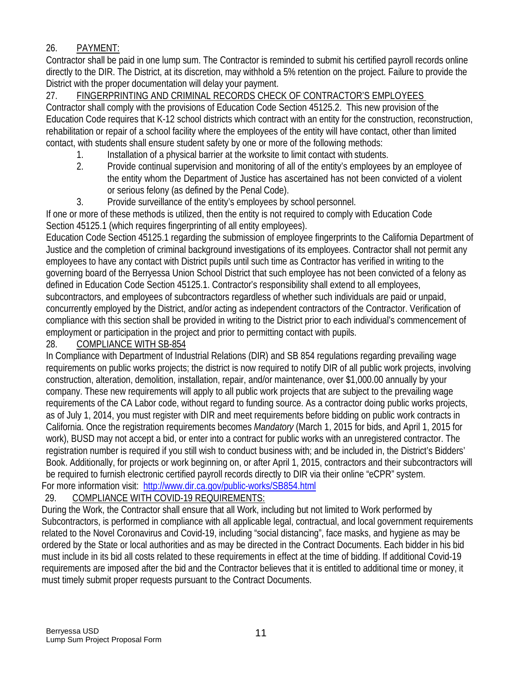#### 26. PAYMENT:

Contractor shall be paid in one lump sum. The Contractor is reminded to submit his certified payroll records online directly to the DIR. The District, at its discretion, may withhold a 5% retention on the project. Failure to provide the District with the proper documentation will delay your payment.

27. FINGERPRINTING AND CRIMINAL RECORDS CHECK OF CONTRACTOR'S EMPLOYEES Contractor shall comply with the provisions of Education Code Section 45125.2. This new provision of the Education Code requires that K-12 school districts which contract with an entity for the construction, reconstruction, rehabilitation or repair of a school facility where the employees of the entity will have contact, other than limited contact, with students shall ensure student safety by one or more of the following methods:

- 1. Installation of a physical barrier at the worksite to limit contact with students.
- 2. Provide continual supervision and monitoring of all of the entity's employees by an employee of the entity whom the Department of Justice has ascertained has not been convicted of a violent or serious felony (as defined by the Penal Code).
- 3. Provide surveillance of the entity's employees by school personnel.

If one or more of these methods is utilized, then the entity is not required to comply with Education Code Section 45125.1 (which requires fingerprinting of all entity employees).

Education Code Section 45125.1 regarding the submission of employee fingerprints to the California Department of Justice and the completion of criminal background investigations of its employees. Contractor shall not permit any employees to have any contact with District pupils until such time as Contractor has verified in writing to the governing board of the Berryessa Union School District that such employee has not been convicted of a felony as defined in Education Code Section 45125.1. Contractor's responsibility shall extend to all employees, subcontractors, and employees of subcontractors regardless of whether such individuals are paid or unpaid, concurrently employed by the District, and/or acting as independent contractors of the Contractor. Verification of compliance with this section shall be provided in writing to the District prior to each individual's commencement of employment or participation in the project and prior to permitting contact with pupils.

#### 28. COMPLIANCE WITH SB-854

In Compliance with Department of Industrial Relations (DIR) and SB 854 regulations regarding prevailing wage requirements on public works projects; the district is now required to notify DIR of all public work projects, involving construction, alteration, demolition, installation, repair, and/or maintenance, over \$1,000.00 annually by your company. These new requirements will apply to all public work projects that are subject to the prevailing wage requirements of the CA Labor code, without regard to funding source. As a contractor doing public works projects, as of July 1, 2014, you must register with DIR and meet requirements before bidding on public work contracts in California. Once the registration requirements becomes *Mandatory* (March 1, 2015 for bids, and April 1, 2015 for work), BUSD may not accept a bid, or enter into a contract for public works with an unregistered contractor. The registration number is required if you still wish to conduct business with; and be included in, the District's Bidders' Book. Additionally, for projects or work beginning on, or after April 1, 2015, contractors and their subcontractors will be required to furnish electronic certified payroll records directly to DIR via their online "eCPR" system. For more information visit: <http://www.dir.ca.gov/public-works/SB854.html>

#### 29. COMPLIANCE WITH COVID-19 REQUIREMENTS:

During the Work, the Contractor shall ensure that all Work, including but not limited to Work performed by Subcontractors, is performed in compliance with all applicable legal, contractual, and local government requirements related to the Novel Coronavirus and Covid-19, including "social distancing", face masks, and hygiene as may be ordered by the State or local authorities and as may be directed in the Contract Documents. Each bidder in his bid must include in its bid all costs related to these requirements in effect at the time of bidding. If additional Covid-19 requirements are imposed after the bid and the Contractor believes that it is entitled to additional time or money, it must timely submit proper requests pursuant to the Contract Documents.